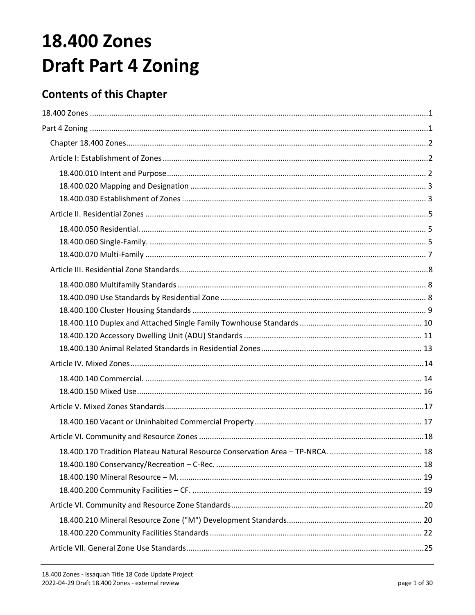# <span id="page-0-1"></span><span id="page-0-0"></span>**18.400 Zones Draft Part 4 Zoning**

# **Contents of this Chapter**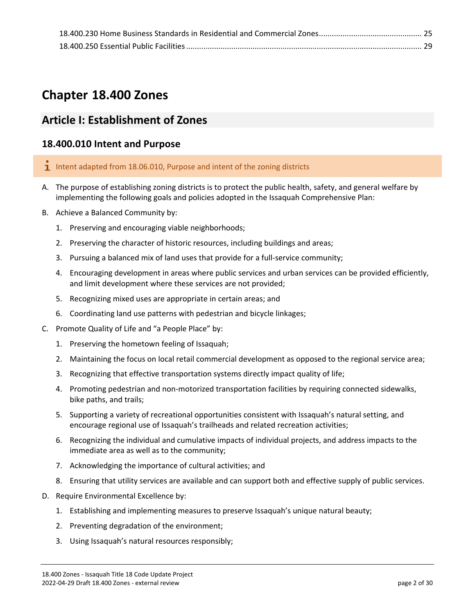# <span id="page-1-0"></span>**Chapter 18.400 Zones**

# <span id="page-1-1"></span>**Article I: Establishment of Zones**

# <span id="page-1-2"></span>**18.400.010 Intent and Purpose**

- I Intent adapted from 18.06.010, Purpose and intent of the zoning districts
- A. The purpose of establishing zoning districts is to protect the public health, safety, and general welfare by implementing the following goals and policies adopted in the Issaquah Comprehensive Plan:
- B. Achieve a Balanced Community by:
	- 1. Preserving and encouraging viable neighborhoods;
	- 2. Preserving the character of historic resources, including buildings and areas;
	- 3. Pursuing a balanced mix of land uses that provide for a full-service community;
	- 4. Encouraging development in areas where public services and urban services can be provided efficiently, and limit development where these services are not provided;
	- 5. Recognizing mixed uses are appropriate in certain areas; and
	- 6. Coordinating land use patterns with pedestrian and bicycle linkages;
- C. Promote Quality of Life and "a People Place" by:
	- 1. Preserving the hometown feeling of Issaquah;
	- 2. Maintaining the focus on local retail commercial development as opposed to the regional service area;
	- 3. Recognizing that effective transportation systems directly impact quality of life;
	- 4. Promoting pedestrian and non-motorized transportation facilities by requiring connected sidewalks, bike paths, and trails;
	- 5. Supporting a variety of recreational opportunities consistent with Issaquah's natural setting, and encourage regional use of Issaquah's trailheads and related recreation activities;
	- 6. Recognizing the individual and cumulative impacts of individual projects, and address impacts to the immediate area as well as to the community;
	- 7. Acknowledging the importance of cultural activities; and
	- 8. Ensuring that utility services are available and can support both and effective supply of public services.
- D. Require Environmental Excellence by:
	- 1. Establishing and implementing measures to preserve Issaquah's unique natural beauty;
	- 2. Preventing degradation of the environment;
	- 3. Using Issaquah's natural resources responsibly;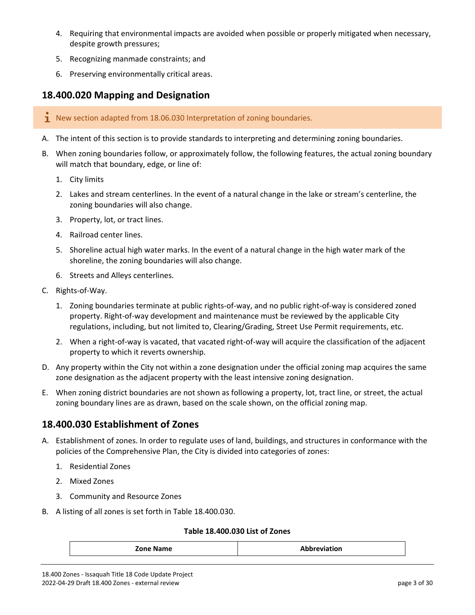- 4. Requiring that environmental impacts are avoided when possible or properly mitigated when necessary, despite growth pressures;
- 5. Recognizing manmade constraints; and
- 6. Preserving environmentally critical areas.

## <span id="page-2-0"></span>**18.400.020 Mapping and Designation**

- $\mathbf{\dot{I}}$  New section adapted from 18.06.030 Interpretation of zoning boundaries.
- A. The intent of this section is to provide standards to interpreting and determining zoning boundaries.
- B. When zoning boundaries follow, or approximately follow, the following features, the actual zoning boundary will match that boundary, edge, or line of:
	- 1. City limits
	- 2. Lakes and stream centerlines. In the event of a natural change in the lake or stream's centerline, the zoning boundaries will also change.
	- 3. Property, lot, or tract lines.
	- 4. Railroad center lines.
	- 5. Shoreline actual high water marks. In the event of a natural change in the high water mark of the shoreline, the zoning boundaries will also change.
	- 6. Streets and Alleys centerlines.
- C. Rights-of-Way.
	- 1. Zoning boundaries terminate at public rights-of-way, and no public right-of-way is considered zoned property. Right-of-way development and maintenance must be reviewed by the applicable City regulations, including, but not limited to, Clearing/Grading, Street Use Permit requirements, etc.
	- 2. When a right-of-way is vacated, that vacated right-of-way will acquire the classification of the adjacent property to which it reverts ownership.
- D. Any property within the City not within a zone designation under the official zoning map acquires the same zone designation as the adjacent property with the least intensive zoning designation.
- E. When zoning district boundaries are not shown as following a property, lot, tract line, or street, the actual zoning boundary lines are as drawn, based on the scale shown, on the official zoning map.

# <span id="page-2-1"></span>**18.400.030 Establishment of Zones**

- A. Establishment of zones. In order to regulate uses of land, buildings, and structures in conformance with the policies of the Comprehensive Plan, the City is divided into categories of zones:
	- 1. Residential Zones
	- 2. Mixed Zones
	- 3. Community and Resource Zones
- B. A listing of all zones is set forth in Table 18.400.030.

#### **Table 18.400.030 List of Zones**

| Zone N<br>ومعاملته<br><b>Name</b><br>ווטו |
|-------------------------------------------|
|-------------------------------------------|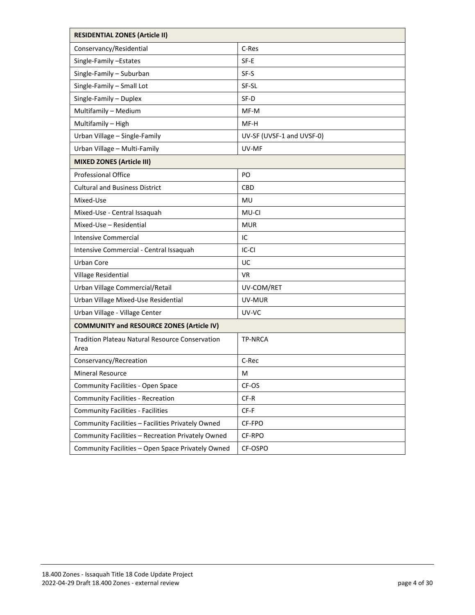| <b>RESIDENTIAL ZONES (Article II)</b>                          |                           |  |  |
|----------------------------------------------------------------|---------------------------|--|--|
| Conservancy/Residential                                        | C-Res                     |  |  |
| Single-Family -Estates                                         | SF-E                      |  |  |
| Single-Family - Suburban                                       | SF-S                      |  |  |
| Single-Family - Small Lot                                      | SF-SL                     |  |  |
| Single-Family - Duplex                                         | SF-D                      |  |  |
| Multifamily - Medium                                           | MF-M                      |  |  |
| Multifamily - High                                             | MF-H                      |  |  |
| Urban Village - Single-Family                                  | UV-SF (UVSF-1 and UVSF-0) |  |  |
| Urban Village - Multi-Family                                   | UV-MF                     |  |  |
| <b>MIXED ZONES (Article III)</b>                               |                           |  |  |
| Professional Office                                            | PO.                       |  |  |
| <b>Cultural and Business District</b>                          | <b>CBD</b>                |  |  |
| Mixed-Use                                                      | MU                        |  |  |
| Mixed-Use - Central Issaquah                                   | MU-CI                     |  |  |
| Mixed-Use - Residential                                        | <b>MUR</b>                |  |  |
| <b>Intensive Commercial</b>                                    | IC                        |  |  |
| Intensive Commercial - Central Issaquah                        | IC-CI                     |  |  |
| <b>Urban Core</b>                                              | UC                        |  |  |
| Village Residential                                            | VR.                       |  |  |
| Urban Village Commercial/Retail                                | UV-COM/RET                |  |  |
| Urban Village Mixed-Use Residential                            | UV-MUR                    |  |  |
| Urban Village - Village Center                                 | UV-VC                     |  |  |
| <b>COMMUNITY and RESOURCE ZONES (Article IV)</b>               |                           |  |  |
| <b>Tradition Plateau Natural Resource Conservation</b><br>Area | <b>TP-NRCA</b>            |  |  |
| Conservancy/Recreation                                         | C-Rec                     |  |  |
| <b>Mineral Resource</b>                                        | м                         |  |  |
| <b>Community Facilities - Open Space</b>                       | CF-OS                     |  |  |
| <b>Community Facilities - Recreation</b>                       | CF-R                      |  |  |
| <b>Community Facilities - Facilities</b>                       | $CF-F$                    |  |  |
| Community Facilities - Facilities Privately Owned              | CF-FPO                    |  |  |
| Community Facilities - Recreation Privately Owned              | CF-RPO                    |  |  |
| Community Facilities - Open Space Privately Owned              | CF-OSPO                   |  |  |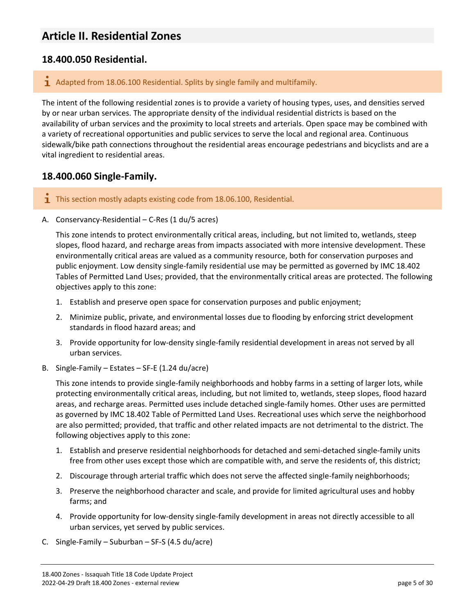# <span id="page-4-0"></span>**Article II. Residential Zones**

## <span id="page-4-1"></span>**18.400.050 Residential.**

#### $\mathbf{1}$  Adapted from 18.06.100 Residential. Splits by single family and multifamily.

The intent of the following residential zones is to provide a variety of housing types, uses, and densities served by or near urban services. The appropriate density of the individual residential districts is based on the availability of urban services and the proximity to local streets and arterials. Open space may be combined with a variety of recreational opportunities and public services to serve the local and regional area. Continuous sidewalk/bike path connections throughout the residential areas encourage pedestrians and bicyclists and are a vital ingredient to residential areas.

## <span id="page-4-2"></span>**18.400.060 Single-Family.**

- **1** This section mostly adapts existing code from 18.06.100, Residential.
- A. Conservancy-Residential C-Res (1 du/5 acres)

This zone intends to protect environmentally critical areas, including, but not limited to, wetlands, steep slopes, flood hazard, and recharge areas from impacts associated with more intensive development. These environmentally critical areas are valued as a community resource, both for conservation purposes and public enjoyment. Low density single-family residential use may be permitted as governed by IMC 18.402 Tables of Permitted Land Uses; provided, that the environmentally critical areas are protected. The following objectives apply to this zone:

- 1. Establish and preserve open space for conservation purposes and public enjoyment;
- 2. Minimize public, private, and environmental losses due to flooding by enforcing strict development standards in flood hazard areas; and
- 3. Provide opportunity for low-density single-family residential development in areas not served by all urban services.
- B. Single-Family Estates SF-E (1.24 du/acre)

This zone intends to provide single-family neighborhoods and hobby farms in a setting of larger lots, while protecting environmentally critical areas, including, but not limited to, wetlands, steep slopes, flood hazard areas, and recharge areas. Permitted uses include detached single-family homes. Other uses are permitted as governed by IMC 18.402 Table of Permitted Land Uses. Recreational uses which serve the neighborhood are also permitted; provided, that traffic and other related impacts are not detrimental to the district. The following objectives apply to this zone:

- 1. Establish and preserve residential neighborhoods for detached and semi-detached single-family units free from other uses except those which are compatible with, and serve the residents of, this district;
- 2. Discourage through arterial traffic which does not serve the affected single-family neighborhoods;
- 3. Preserve the neighborhood character and scale, and provide for limited agricultural uses and hobby farms; and
- 4. Provide opportunity for low-density single-family development in areas not directly accessible to all urban services, yet served by public services.
- C. Single-Family Suburban SF-S (4.5 du/acre)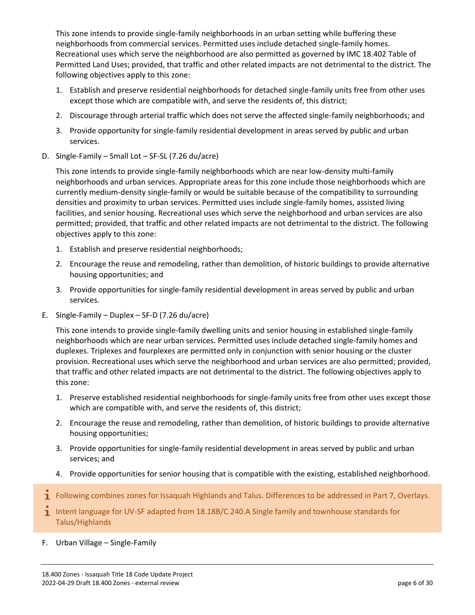This zone intends to provide single-family neighborhoods in an urban setting while buffering these neighborhoods from commercial services. Permitted uses include detached single-family homes. Recreational uses which serve the neighborhood are also permitted as governed by IMC 18.402 Table of Permitted Land Uses; provided, that traffic and other related impacts are not detrimental to the district. The following objectives apply to this zone:

- 1. Establish and preserve residential neighborhoods for detached single-family units free from other uses except those which are compatible with, and serve the residents of, this district;
- 2. Discourage through arterial traffic which does not serve the affected single-family neighborhoods; and
- 3. Provide opportunity for single-family residential development in areas served by public and urban services.
- D. Single-Family Small Lot SF-SL (7.26 du/acre)

This zone intends to provide single-family neighborhoods which are near low-density multi-family neighborhoods and urban services. Appropriate areas for this zone include those neighborhoods which are currently medium-density single-family or would be suitable because of the compatibility to surrounding densities and proximity to urban services. Permitted uses include single-family homes, assisted living facilities, and senior housing. Recreational uses which serve the neighborhood and urban services are also permitted; provided, that traffic and other related impacts are not detrimental to the district. The following objectives apply to this zone:

- 1. Establish and preserve residential neighborhoods;
- 2. Encourage the reuse and remodeling, rather than demolition, of historic buildings to provide alternative housing opportunities; and
- 3. Provide opportunities for single-family residential development in areas served by public and urban services.
- E. Single-Family Duplex SF-D (7.26 du/acre)

This zone intends to provide single-family dwelling units and senior housing in established single-family neighborhoods which are near urban services. Permitted uses include detached single-family homes and duplexes. Triplexes and fourplexes are permitted only in conjunction with senior housing or the cluster provision. Recreational uses which serve the neighborhood and urban services are also permitted; provided, that traffic and other related impacts are not detrimental to the district. The following objectives apply to this zone:

- 1. Preserve established residential neighborhoods for single-family units free from other uses except those which are compatible with, and serve the residents of, this district;
- 2. Encourage the reuse and remodeling, rather than demolition, of historic buildings to provide alternative housing opportunities;
- 3. Provide opportunities for single-family residential development in areas served by public and urban services; and
- 4. Provide opportunities for senior housing that is compatible with the existing, established neighborhood.
- $\mathbf i$  Following combines zones for Issaquah Highlands and Talus. Differences to be addressed in Part 7, Overlays.
- **I** Intent language for UV-SF adapted from  $18.18B/C.240.A$  Single family and townhouse standards for Talus/Highlands
- F. Urban Village Single-Family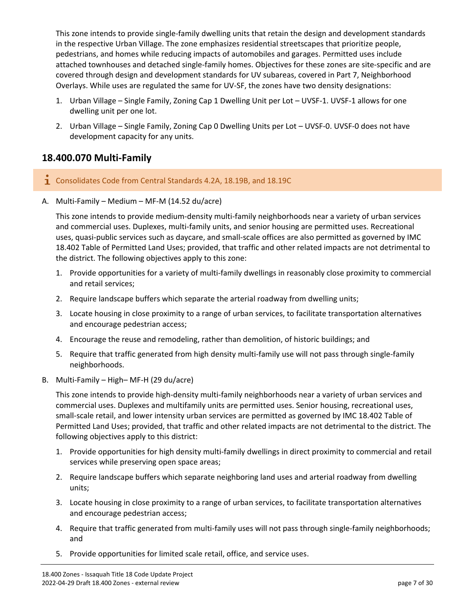This zone intends to provide single-family dwelling units that retain the design and development standards in the respective Urban Village. The zone emphasizes residential streetscapes that prioritize people, pedestrians, and homes while reducing impacts of automobiles and garages. Permitted uses include attached townhouses and detached single-family homes. Objectives for these zones are site-specific and are covered through design and development standards for UV subareas, covered in Part 7, Neighborhood Overlays. While uses are regulated the same for UV-SF, the zones have two density designations:

- 1. Urban Village Single Family, Zoning Cap 1 Dwelling Unit per Lot UVSF-1. UVSF-1 allows for one dwelling unit per one lot.
- 2. Urban Village Single Family, Zoning Cap 0 Dwelling Units per Lot UVSF-0. UVSF-0 does not have development capacity for any units.

# <span id="page-6-0"></span>**18.400.070 Multi-Family**

- Consolidates Code from Central Standards 4.2A, 18.19B, and 18.19C
- A. Multi-Family Medium MF-M (14.52 du/acre)

This zone intends to provide medium-density multi-family neighborhoods near a variety of urban services and commercial uses. Duplexes, multi-family units, and senior housing are permitted uses. Recreational uses, quasi-public services such as daycare, and small-scale offices are also permitted as governed by IMC 18.402 Table of Permitted Land Uses; provided, that traffic and other related impacts are not detrimental to the district. The following objectives apply to this zone:

- 1. Provide opportunities for a variety of multi-family dwellings in reasonably close proximity to commercial and retail services;
- 2. Require landscape buffers which separate the arterial roadway from dwelling units;
- 3. Locate housing in close proximity to a range of urban services, to facilitate transportation alternatives and encourage pedestrian access;
- 4. Encourage the reuse and remodeling, rather than demolition, of historic buildings; and
- 5. Require that traffic generated from high density multi-family use will not pass through single-family neighborhoods.
- B. Multi-Family High– MF-H (29 du/acre)

This zone intends to provide high-density multi-family neighborhoods near a variety of urban services and commercial uses. Duplexes and multifamily units are permitted uses. Senior housing, recreational uses, small-scale retail, and lower intensity urban services are permitted as governed by IMC 18.402 Table of Permitted Land Uses; provided, that traffic and other related impacts are not detrimental to the district. The following objectives apply to this district:

- 1. Provide opportunities for high density multi-family dwellings in direct proximity to commercial and retail services while preserving open space areas;
- 2. Require landscape buffers which separate neighboring land uses and arterial roadway from dwelling units;
- 3. Locate housing in close proximity to a range of urban services, to facilitate transportation alternatives and encourage pedestrian access;
- 4. Require that traffic generated from multi-family uses will not pass through single-family neighborhoods; and
- 5. Provide opportunities for limited scale retail, office, and service uses.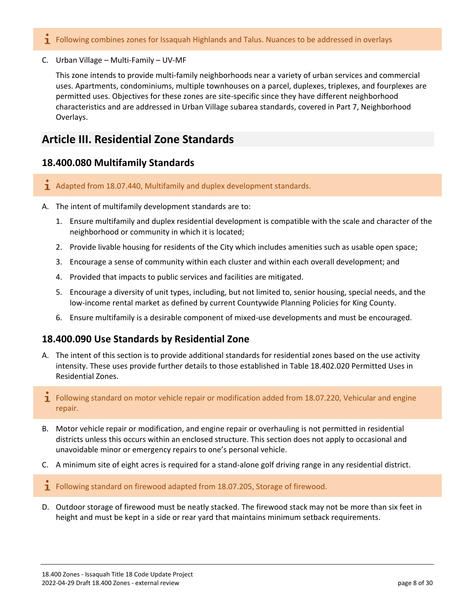- **I** Following combines zones for Issaquah Highlands and Talus. Nuances to be addressed in overlays
- C. Urban Village Multi-Family UV-MF

This zone intends to provide multi-family neighborhoods near a variety of urban services and commercial uses. Apartments, condominiums, multiple townhouses on a parcel, duplexes, triplexes, and fourplexes are permitted uses. Objectives for these zones are site-specific since they have different neighborhood characteristics and are addressed in Urban Village subarea standards, covered in Part 7, Neighborhood Overlays.

# <span id="page-7-0"></span>**Article III. Residential Zone Standards**

## <span id="page-7-1"></span>**18.400.080 Multifamily Standards**

- 1 Adapted from 18.07.440, Multifamily and duplex development standards.
- A. The intent of multifamily development standards are to:
	- 1. Ensure multifamily and duplex residential development is compatible with the scale and character of the neighborhood or community in which it is located;
	- 2. Provide livable housing for residents of the City which includes amenities such as usable open space;
	- 3. Encourage a sense of community within each cluster and within each overall development; and
	- 4. Provided that impacts to public services and facilities are mitigated.
	- 5. Encourage a diversity of unit types, including, but not limited to, senior housing, special needs, and the low-income rental market as defined by current Countywide Planning Policies for King County.
	- 6. Ensure multifamily is a desirable component of mixed-use developments and must be encouraged.

# <span id="page-7-2"></span>**18.400.090 Use Standards by Residential Zone**

- A. The intent of this section is to provide additional standards for residential zones based on the use activity intensity. These uses provide further details to those established in Table 18.402.020 Permitted Uses in Residential Zones.
- **T** Following standard on motor vehicle repair or modification added from 18.07.220, Vehicular and engine repair.
- B. Motor vehicle repair or modification, and engine repair or overhauling is not permitted in residential districts unless this occurs within an enclosed structure. This section does not apply to occasional and unavoidable minor or emergency repairs to one's personal vehicle.
- C. A minimum site of eight acres is required for a stand-alone golf driving range in any residential district.
- $\mathbf I$  Following standard on firewood adapted from 18.07.205, Storage of firewood.
- D. Outdoor storage of firewood must be neatly stacked. The firewood stack may not be more than six feet in height and must be kept in a side or rear yard that maintains minimum setback requirements.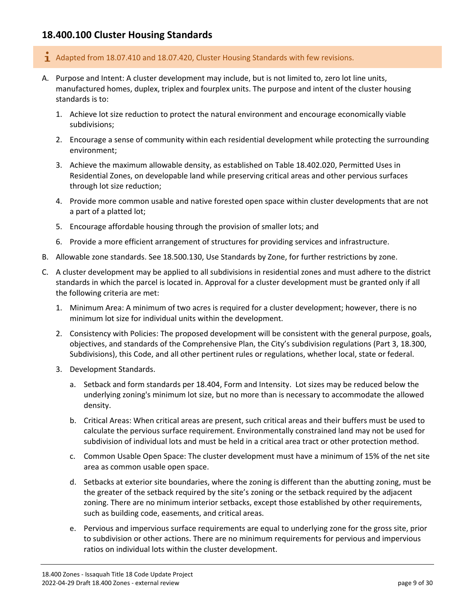# <span id="page-8-0"></span>**18.400.100 Cluster Housing Standards**

- $\mathbf{\dot{1}}$  Adapted from 18.07.410 and 18.07.420, Cluster Housing Standards with few revisions.
- A. Purpose and Intent: A cluster development may include, but is not limited to, zero lot line units, manufactured homes, duplex, triplex and fourplex units. The purpose and intent of the cluster housing standards is to:
	- 1. Achieve lot size reduction to protect the natural environment and encourage economically viable subdivisions;
	- 2. Encourage a sense of community within each residential development while protecting the surrounding environment;
	- 3. Achieve the maximum allowable density, as established on Table 18.402.020, Permitted Uses in Residential Zones, on developable land while preserving critical areas and other pervious surfaces through lot size reduction;
	- 4. Provide more common usable and native forested open space within cluster developments that are not a part of a platted lot;
	- 5. Encourage affordable housing through the provision of smaller lots; and
	- 6. Provide a more efficient arrangement of structures for providing services and infrastructure.
- B. Allowable zone standards. See 18.500.130, Use Standards by Zone, for further restrictions by zone.
- C. A cluster development may be applied to all subdivisions in residential zones and must adhere to the district standards in which the parcel is located in. Approval for a cluster development must be granted only if all the following criteria are met:
	- 1. Minimum Area: A minimum of two acres is required for a cluster development; however, there is no minimum lot size for individual units within the development.
	- 2. Consistency with Policies: The proposed development will be consistent with the general purpose, goals, objectives, and standards of the Comprehensive Plan, the City's subdivision regulations (Part 3, [18.3](https://www.codepublishing.com/WA/Issaquah/#!/Issaquah18/Issaquah1813.html#18.13)00, Subdivisions), this Code, and all other pertinent rules or regulations, whether local, state or federal.
	- 3. Development Standards.
		- a. Setback and form standards per 18.404, Form and Intensity. Lot sizes may be reduced below the underlying zoning's minimum lot size, but no more than is necessary to accommodate the allowed density.
		- b. Critical Areas: When critical areas are present, such critical areas and their buffers must be used to calculate the pervious surface requirement. Environmentally constrained land may not be used for subdivision of individual lots and must be held in a critical area tract or other protection method.
		- c. Common Usable Open Space: The cluster development must have a minimum of 15% of the net site area as common usable open space.
		- d. Setbacks at exterior site boundaries, where the zoning is different than the abutting zoning, must be the greater of the setback required by the site's zoning or the setback required by the adjacent zoning. There are no minimum interior setbacks, except those established by other requirements, such as building code, easements, and critical areas.
		- e. Pervious and impervious surface requirements are equal to underlying zone for the gross site, prior to subdivision or other actions. There are no minimum requirements for pervious and impervious ratios on individual lots within the cluster development.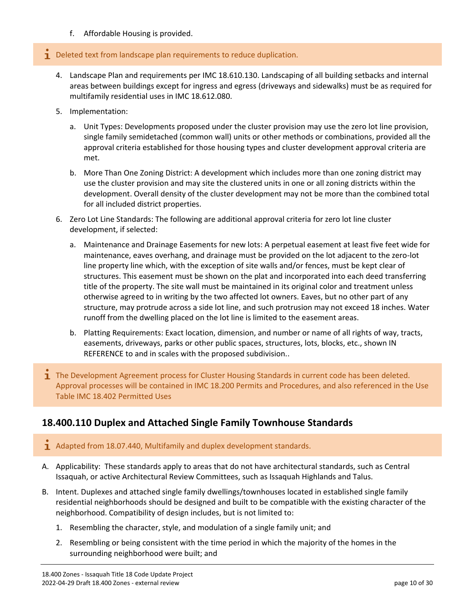f. Affordable Housing is provided.

#### $\mathbf 1$  Deleted text from landscape plan requirements to reduce duplication.

- 4. Landscape Plan and requirements per IMC 18.610.130. Landscaping of all building setbacks and internal areas between buildings except for ingress and egress (driveways and sidewalks) must be as required for multifamily residential uses in IMC 18.612.080.
- 5. Implementation:
	- a. Unit Types: Developments proposed under the cluster provision may use the zero lot line provision, single family semidetached (common wall) units or other methods or combinations, provided all the approval criteria established for those housing types and cluster development approval criteria are met.
	- b. More Than One Zoning District: A development which includes more than one zoning district may use the cluster provision and may site the clustered units in one or all zoning districts within the development. Overall density of the cluster development may not be more than the combined total for all included district properties.
- 6. Zero Lot Line Standards: The following are additional approval criteria for zero lot line cluster development, if selected:
	- a. Maintenance and Drainage Easements for new lots: A perpetual easement at least five feet wide for maintenance, eaves overhang, and drainage must be provided on the lot adjacent to the zero-lot line property line which, with the exception of site walls and/or fences, must be kept clear of structures. This easement must be shown on the plat and incorporated into each deed transferring title of the property. The site wall must be maintained in its original color and treatment unless otherwise agreed to in writing by the two affected lot owners. Eaves, but no other part of any structure, may protrude across a side lot line, and such protrusion may not exceed 18 inches. Water runoff from the dwelling placed on the lot line is limited to the easement areas.
	- b. Platting Requirements: Exact location, dimension, and number or name of all rights of way, tracts, easements, driveways, parks or other public spaces, structures, lots, blocks, etc., shown IN REFERENCE to and in scales with the proposed subdivision..
- **T** The Development Agreement process for Cluster Housing Standards in current code has been deleted. Approval processes will be contained in IMC 18.200 Permits and Procedures, and also referenced in the Use Table IMC 18.402 Permitted Uses

# <span id="page-9-0"></span>**18.400.110 Duplex and Attached Single Family Townhouse Standards**

- $\mathbf 1$  Adapted from 18.07.440, Multifamily and duplex development standards.
- A. Applicability: These standards apply to areas that do not have architectural standards, such as Central Issaquah, or active Architectural Review Committees, such as Issaquah Highlands and Talus.
- B. Intent. Duplexes and attached single family dwellings/townhouses located in established single family residential neighborhoods should be designed and built to be compatible with the existing character of the neighborhood. Compatibility of design includes, but is not limited to:
	- 1. Resembling the character, style, and modulation of a single family unit; and
	- 2. Resembling or being consistent with the time period in which the majority of the homes in the surrounding neighborhood were built; and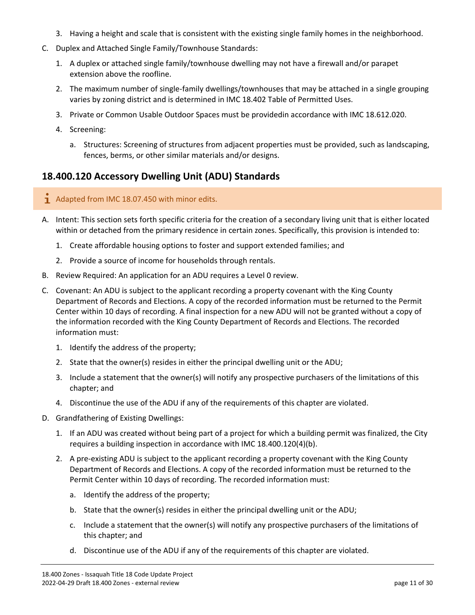- 3. Having a height and scale that is consistent with the existing single family homes in the neighborhood.
- C. Duplex and Attached Single Family/Townhouse Standards:
	- 1. A duplex or attached single family/townhouse dwelling may not have a firewall and/or parapet extension above the roofline.
	- 2. The maximum number of single-family dwellings/townhouses that may be attached in a single grouping varies by zoning district and is determined in IMC 18.402 Table of Permitted Uses.
	- 3. Private or Common Usable Outdoor Spaces must be providedin accordance with IMC 18.612.020.
	- 4. Screening:
		- a. Structures: Screening of structures from adjacent properties must be provided, such as landscaping, fences, berms, or other similar materials and/or designs.

# <span id="page-10-0"></span>**18.400.120 Accessory Dwelling Unit (ADU) Standards**

#### $\overline{1}$  Adapted from IMC 18.07.450 with minor edits.

- A. Intent: This section sets forth specific criteria for the creation of a secondary living unit that is either located within or detached from the primary residence in certain zones. Specifically, this provision is intended to:
	- 1. Create affordable housing options to foster and support extended families; and
	- 2. Provide a source of income for households through rentals.
- B. Review Required: An application for an ADU requires a Level 0 review.
- C. Covenant: An ADU is subject to the applicant recording a property covenant with the King County Department of Records and Elections. A copy of the recorded information must be returned to the Permit Center within 10 days of recording. A final inspection for a new ADU will not be granted without a copy of the information recorded with the King County Department of Records and Elections. The recorded information must:
	- 1. Identify the address of the property;
	- 2. State that the owner(s) resides in either the principal dwelling unit or the ADU;
	- 3. Include a statement that the owner(s) will notify any prospective purchasers of the limitations of this chapter; and
	- 4. Discontinue the use of the ADU if any of the requirements of this chapter are violated.
- D. Grandfathering of Existing Dwellings:
	- 1. If an ADU was created without being part of a project for which a building permit was finalized, the City requires a building inspection in accordance with IMC 18.400.120(4)(b).
	- 2. A pre-existing ADU is subject to the applicant recording a property covenant with the King County Department of Records and Elections. A copy of the recorded information must be returned to the Permit Center within 10 days of recording. The recorded information must:
		- a. Identify the address of the property;
		- b. State that the owner(s) resides in either the principal dwelling unit or the ADU;
		- c. Include a statement that the owner(s) will notify any prospective purchasers of the limitations of this chapter; and
		- d. Discontinue use of the ADU if any of the requirements of this chapter are violated.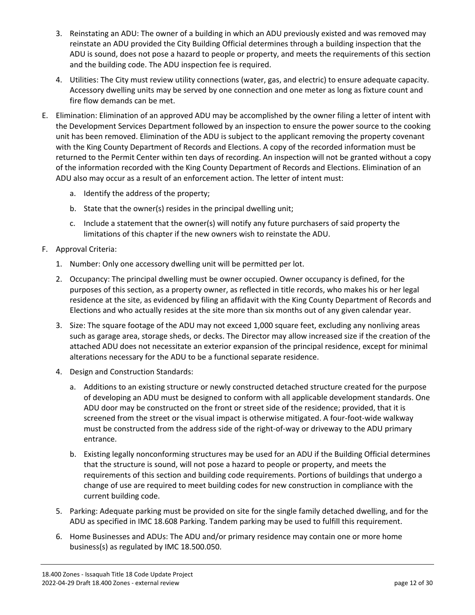- 3. Reinstating an ADU: The owner of a building in which an ADU previously existed and was removed may reinstate an ADU provided the City Building Official determines through a building inspection that the ADU is sound, does not pose a hazard to people or property, and meets the requirements of this section and the building code. The ADU inspection fee is required.
- 4. Utilities: The City must review utility connections (water, gas, and electric) to ensure adequate capacity. Accessory dwelling units may be served by one connection and one meter as long as fixture count and fire flow demands can be met.
- E. Elimination: Elimination of an approved ADU may be accomplished by the owner filing a letter of intent with the Development Services Department followed by an inspection to ensure the power source to the cooking unit has been removed. Elimination of the ADU is subject to the applicant removing the property covenant with the King County Department of Records and Elections. A copy of the recorded information must be returned to the Permit Center within ten days of recording. An inspection will not be granted without a copy of the information recorded with the King County Department of Records and Elections. Elimination of an ADU also may occur as a result of an enforcement action. The letter of intent must:
	- a. Identify the address of the property;
	- b. State that the owner(s) resides in the principal dwelling unit;
	- c. Include a statement that the owner(s) will notify any future purchasers of said property the limitations of this chapter if the new owners wish to reinstate the ADU.
- F. Approval Criteria:
	- 1. Number: Only one accessory dwelling unit will be permitted per lot.
	- 2. Occupancy: The principal dwelling must be owner occupied. Owner occupancy is defined, for the purposes of this section, as a property owner, as reflected in title records, who makes his or her legal residence at the site, as evidenced by filing an affidavit with the King County Department of Records and Elections and who actually resides at the site more than six months out of any given calendar year.
	- 3. Size: The square footage of the ADU may not exceed 1,000 square feet, excluding any nonliving areas such as garage area, storage sheds, or decks. The Director may allow increased size if the creation of the attached ADU does not necessitate an exterior expansion of the principal residence, except for minimal alterations necessary for the ADU to be a functional separate residence.
	- 4. Design and Construction Standards:
		- a. Additions to an existing structure or newly constructed detached structure created for the purpose of developing an ADU must be designed to conform with all applicable development standards. One ADU door may be constructed on the front or street side of the residence; provided, that it is screened from the street or the visual impact is otherwise mitigated. A four-foot-wide walkway must be constructed from the address side of the right-of-way or driveway to the ADU primary entrance.
		- b. Existing legally nonconforming structures may be used for an ADU if the Building Official determines that the structure is sound, will not pose a hazard to people or property, and meets the requirements of this section and building code requirements. Portions of buildings that undergo a change of use are required to meet building codes for new construction in compliance with the current building code.
	- 5. Parking: Adequate parking must be provided on site for the single family detached dwelling, and for the ADU as specified in IMC 18.608 Parking. Tandem parking may be used to fulfill this requirement.
	- 6. Home Businesses and ADUs: The ADU and/or primary residence may contain one or more home business(s) as regulated by IMC 18.500.050.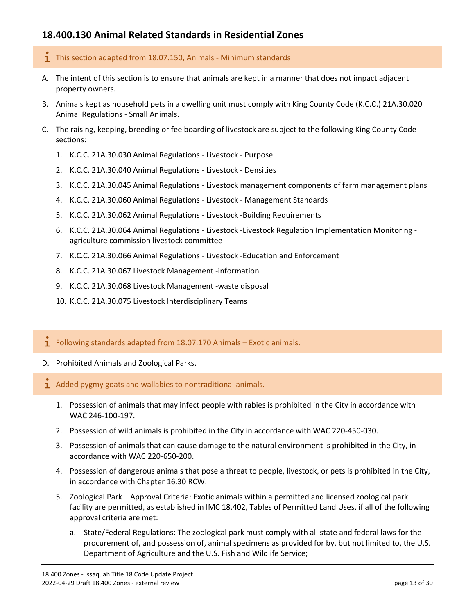# <span id="page-12-0"></span>**18.400.130 Animal Related Standards in Residential Zones**

- $\mathbf{I}$  This section adapted from 18.07.150, Animals Minimum standards
- A. The intent of this section is to ensure that animals are kept in a manner that does not impact adjacent property owners.
- B. Animals kept as household pets in a dwelling unit must comply with King County Code (K.C.C.) 21A.30.020 Animal Regulations - Small Animals.
- C. The raising, keeping, breeding or fee boarding of livestock are subject to the following King County Code sections:
	- 1. K.C.C. 21A.30.030 Animal Regulations Livestock Purpose
	- 2. K.C.C. 21A.30.040 Animal Regulations Livestock Densities
	- 3. K.C.C. 21A.30.045 Animal Regulations Livestock management components of farm management plans
	- 4. K.C.C. 21A.30.060 Animal Regulations Livestock Management Standards
	- 5. K.C.C. 21A.30.062 Animal Regulations Livestock -Building Requirements
	- 6. K.C.C. 21A.30.064 Animal Regulations Livestock -Livestock Regulation Implementation Monitoring agriculture commission livestock committee
	- 7. K.C.C. 21A.30.066 Animal Regulations Livestock -Education and Enforcement
	- 8. K.C.C. 21A.30.067 Livestock Management -information
	- 9. K.C.C. 21A.30.068 Livestock Management -waste disposal
	- 10. K.C.C. 21A.30.075 Livestock Interdisciplinary Teams
- $\mathbf{I}$  Following standards adapted from 18.07.170 Animals Exotic animals.
- D. Prohibited Animals and Zoological Parks.
- $\mathbf{\dot{I}}$  Added pygmy goats and wallabies to nontraditional animals.
	- 1. Possession of animals that may infect people with rabies is prohibited in the City in accordance with WAC 246-100-197.
	- 2. Possession of wild animals is prohibited in the City in accordance with WAC 220-450-030.
	- 3. Possession of animals that can cause damage to the natural environment is prohibited in the City, in accordance with WAC 220-650-200.
	- 4. Possession of dangerous animals that pose a threat to people, livestock, or pets is prohibited in the City, in accordance with Chapter 16.30 RCW.
	- 5. Zoological Park Approval Criteria: Exotic animals within a permitted and licensed zoological park facility are permitted, as established in IMC 18.402, Tables of Permitted Land Uses, if all of the following approval criteria are met:
		- a. State/Federal Regulations: The zoological park must comply with all state and federal laws for the procurement of, and possession of, animal specimens as provided for by, but not limited to, the U.S. Department of Agriculture and the U.S. Fish and Wildlife Service;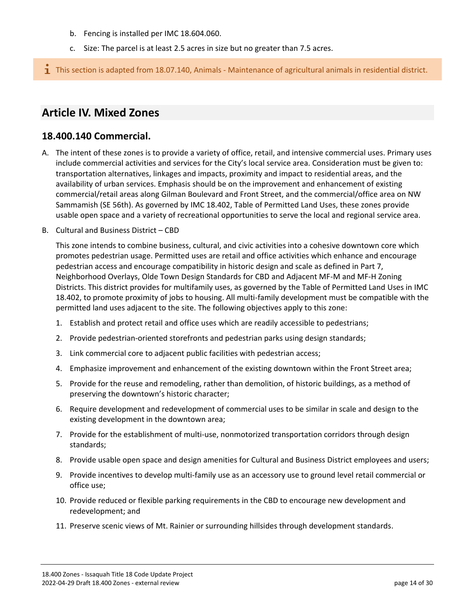- b. Fencing is installed per IMC 18.604.060.
- c. Size: The parcel is at least 2.5 acres in size but no greater than 7.5 acres.

 $\mathbf{I}$  This section is adapted from 18.07.140, Animals - Maintenance of agricultural animals in residential district.

# <span id="page-13-0"></span>**Article IV. Mixed Zones**

## <span id="page-13-1"></span>**18.400.140 Commercial.**

- A. The intent of these zones is to provide a variety of office, retail, and intensive commercial uses. Primary uses include commercial activities and services for the City's local service area. Consideration must be given to: transportation alternatives, linkages and impacts, proximity and impact to residential areas, and the availability of urban services. Emphasis should be on the improvement and enhancement of existing commercial/retail areas along Gilman Boulevard and Front Street, and the commercial/office area on NW Sammamish (SE 56th). As governed by IMC 18.402, Table of Permitted Land Uses, these zones provide usable open space and a variety of recreational opportunities to serve the local and regional service area.
- B. Cultural and Business District CBD

This zone intends to combine business, cultural, and civic activities into a cohesive downtown core which promotes pedestrian usage. Permitted uses are retail and office activities which enhance and encourage pedestrian access and encourage compatibility in historic design and scale as defined in Part 7, Neighborhood Overlays, Olde Town Design Standards for CBD and Adjacent MF-M and MF-H Zoning Districts. This district provides for multifamily uses, as governed by the Table of Permitted Land Uses in IMC 18.402, to promote proximity of jobs to housing. All multi-family development must be compatible with the permitted land uses adjacent to the site. The following objectives apply to this zone:

- 1. Establish and protect retail and office uses which are readily accessible to pedestrians;
- 2. Provide pedestrian-oriented storefronts and pedestrian parks using design standards;
- 3. Link commercial core to adjacent public facilities with pedestrian access;
- 4. Emphasize improvement and enhancement of the existing downtown within the Front Street area;
- 5. Provide for the reuse and remodeling, rather than demolition, of historic buildings, as a method of preserving the downtown's historic character;
- 6. Require development and redevelopment of commercial uses to be similar in scale and design to the existing development in the downtown area;
- 7. Provide for the establishment of multi-use, nonmotorized transportation corridors through design standards;
- 8. Provide usable open space and design amenities for Cultural and Business District employees and users;
- 9. Provide incentives to develop multi-family use as an accessory use to ground level retail commercial or office use;
- 10. Provide reduced or flexible parking requirements in the CBD to encourage new development and redevelopment; and
- 11. Preserve scenic views of Mt. Rainier or surrounding hillsides through development standards.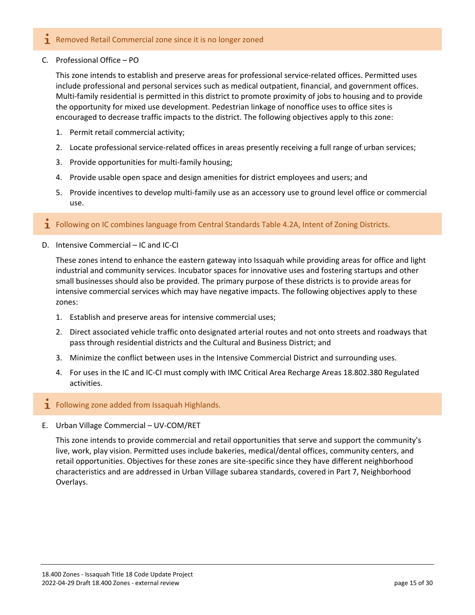#### $\mathbf{\dot{I}}$  Removed Retail Commercial zone since it is no longer zoned

C. Professional Office – PO

This zone intends to establish and preserve areas for professional service-related offices. Permitted uses include professional and personal services such as medical outpatient, financial, and government offices. Multi-family residential is permitted in this district to promote proximity of jobs to housing and to provide the opportunity for mixed use development. Pedestrian linkage of nonoffice uses to office sites is encouraged to decrease traffic impacts to the district. The following objectives apply to this zone:

- 1. Permit retail commercial activity;
- 2. Locate professional service-related offices in areas presently receiving a full range of urban services;
- 3. Provide opportunities for multi-family housing;
- 4. Provide usable open space and design amenities for district employees and users; and
- 5. Provide incentives to develop multi-family use as an accessory use to ground level office or commercial use.

#### **1** Following on IC combines language from Central Standards Table 4.2A, Intent of Zoning Districts.

D. Intensive Commercial – IC and IC-CI

These zones intend to enhance the eastern gateway into Issaquah while providing areas for office and light industrial and community services. Incubator spaces for innovative uses and fostering startups and other small businesses should also be provided. The primary purpose of these districts is to provide areas for intensive commercial services which may have negative impacts. The following objectives apply to these zones:

- 1. Establish and preserve areas for intensive commercial uses;
- 2. Direct associated vehicle traffic onto designated arterial routes and not onto streets and roadways that pass through residential districts and the Cultural and Business District; and
- 3. Minimize the conflict between uses in the Intensive Commercial District and surrounding uses.
- 4. For uses in the IC and IC-CI must comply with IMC Critical Area Recharge Areas 18.802.380 Regulated activities.
- $\mathbf I$  Following zone added from Issaquah Highlands.
- E. Urban Village Commercial UV-COM/RET

This zone intends to provide commercial and retail opportunities that serve and support the community's live, work, play vision. Permitted uses include bakeries, medical/dental offices, community centers, and retail opportunities. Objectives for these zones are site-specific since they have different neighborhood characteristics and are addressed in Urban Village subarea standards, covered in Part 7, Neighborhood Overlays.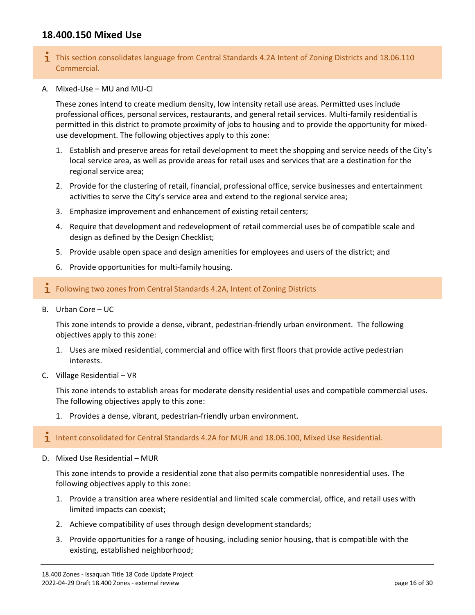# <span id="page-15-0"></span>**18.400.150 Mixed Use**

- **T** This section consolidates language from Central Standards 4.2A Intent of Zoning Districts and 18.06.110 Commercial.
- A. Mixed-Use MU and MU-CI

These zones intend to create medium density, low intensity retail use areas. Permitted uses include professional offices, personal services, restaurants, and general retail services. Multi-family residential is permitted in this district to promote proximity of jobs to housing and to provide the opportunity for mixeduse development. The following objectives apply to this zone:

- 1. Establish and preserve areas for retail development to meet the shopping and service needs of the City's local service area, as well as provide areas for retail uses and services that are a destination for the regional service area;
- 2. Provide for the clustering of retail, financial, professional office, service businesses and entertainment activities to serve the City's service area and extend to the regional service area;
- 3. Emphasize improvement and enhancement of existing retail centers;
- 4. Require that development and redevelopment of retail commercial uses be of compatible scale and design as defined by the Design Checklist;
- 5. Provide usable open space and design amenities for employees and users of the district; and
- 6. Provide opportunities for multi-family housing.

#### $\mathbf I$  Following two zones from Central Standards 4.2A, Intent of Zoning Districts

B. Urban Core – UC

This zone intends to provide a dense, vibrant, pedestrian-friendly urban environment. The following objectives apply to this zone:

- 1. Uses are mixed residential, commercial and office with first floors that provide active pedestrian interests.
- C. Village Residential VR

This zone intends to establish areas for moderate density residential uses and compatible commercial uses. The following objectives apply to this zone:

1. Provides a dense, vibrant, pedestrian-friendly urban environment.

1 Intent consolidated for Central Standards 4.2A for MUR and 18.06.100, Mixed Use Residential.

D. Mixed Use Residential – MUR

This zone intends to provide a residential zone that also permits compatible nonresidential uses. The following objectives apply to this zone:

- 1. Provide a transition area where residential and limited scale commercial, office, and retail uses with limited impacts can coexist;
- 2. Achieve compatibility of uses through design development standards;
- 3. Provide opportunities for a range of housing, including senior housing, that is compatible with the existing, established neighborhood;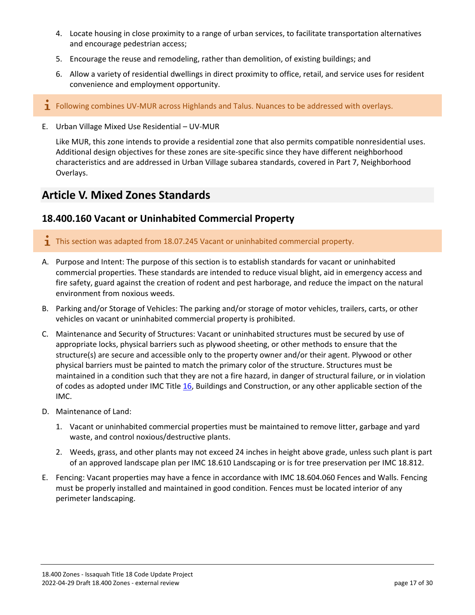- 4. Locate housing in close proximity to a range of urban services, to facilitate transportation alternatives and encourage pedestrian access;
- 5. Encourage the reuse and remodeling, rather than demolition, of existing buildings; and
- 6. Allow a variety of residential dwellings in direct proximity to office, retail, and service uses for resident convenience and employment opportunity.
- $\mathbf i$  Following combines UV-MUR across Highlands and Talus. Nuances to be addressed with overlays.
- E. Urban Village Mixed Use Residential UV-MUR

Like MUR, this zone intends to provide a residential zone that also permits compatible nonresidential uses. Additional design objectives for these zones are site-specific since they have different neighborhood characteristics and are addressed in Urban Village subarea standards, covered in Part 7, Neighborhood Overlays.

# <span id="page-16-0"></span>**Article V. Mixed Zones Standards**

## <span id="page-16-1"></span>**18.400.160 Vacant or Uninhabited Commercial Property**

- **T** This section was adapted from 18.07.245 Vacant or uninhabited commercial property.
- A. Purpose and Intent: The purpose of this section is to establish standards for vacant or uninhabited commercial properties. These standards are intended to reduce visual blight, aid in emergency access and fire safety, guard against the creation of rodent and pest harborage, and reduce the impact on the natural environment from noxious weeds.
- B. Parking and/or Storage of Vehicles: The parking and/or storage of motor vehicles, trailers, carts, or other vehicles on vacant or uninhabited commercial property is prohibited.
- C. Maintenance and Security of Structures: Vacant or uninhabited structures must be secured by use of appropriate locks, physical barriers such as plywood sheeting, or other methods to ensure that the structure(s) are secure and accessible only to the property owner and/or their agent. Plywood or other physical barriers must be painted to match the primary color of the structure. Structures must be maintained in a condition such that they are not a fire hazard, in danger of structural failure, or in violation of codes as adopted under IMC Title [16,](https://www.codepublishing.com/WA/Issaquah/html/Issaquah16/Issaquah16.html#16) Buildings and Construction, or any other applicable section of the IMC.
- D. Maintenance of Land:
	- 1. Vacant or uninhabited commercial properties must be maintained to remove litter, garbage and yard waste, and control noxious/destructive plants.
	- 2. Weeds, grass, and other plants may not exceed 24 inches in height above grade, unless such plant is part of an approved landscape plan per IMC 18.610 Landscaping or is for tree preservation per IMC 18.812.
- E. Fencing: Vacant properties may have a fence in accordance with IMC 18.604.060 Fences and Walls. Fencing must be properly installed and maintained in good condition. Fences must be located interior of any perimeter landscaping.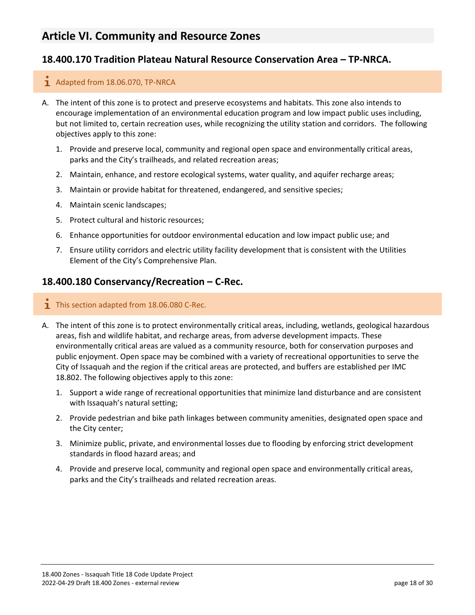# <span id="page-17-0"></span>**Article VI. Community and Resource Zones**

# <span id="page-17-1"></span>**18.400.170 Tradition Plateau Natural Resource Conservation Area – TP-NRCA.**

#### $\overline{1}$  Adapted from 18.06.070, TP-NRCA

- A. The intent of this zone is to protect and preserve ecosystems and habitats. This zone also intends to encourage implementation of an environmental education program and low impact public uses including, but not limited to, certain recreation uses, while recognizing the utility station and corridors. The following objectives apply to this zone:
	- 1. Provide and preserve local, community and regional open space and environmentally critical areas, parks and the City's trailheads, and related recreation areas;
	- 2. Maintain, enhance, and restore ecological systems, water quality, and aquifer recharge areas;
	- 3. Maintain or provide habitat for threatened, endangered, and sensitive species;
	- 4. Maintain scenic landscapes;
	- 5. Protect cultural and historic resources;
	- 6. Enhance opportunities for outdoor environmental education and low impact public use; and
	- 7. Ensure utility corridors and electric utility facility development that is consistent with the Utilities Element of the City's Comprehensive Plan.

#### <span id="page-17-2"></span>**18.400.180 Conservancy/Recreation – C-Rec.**

- $\overline{1}$  This section adapted from 18.06.080 C-Rec.
- A. The intent of this zone is to protect environmentally critical areas, including, wetlands, geological hazardous areas, fish and wildlife habitat, and recharge areas, from adverse development impacts. These environmentally critical areas are valued as a community resource, both for conservation purposes and public enjoyment. Open space may be combined with a variety of recreational opportunities to serve the City of Issaquah and the region if the critical areas are protected, and buffers are established per IMC 18.802. The following objectives apply to this zone:
	- 1. Support a wide range of recreational opportunities that minimize land disturbance and are consistent with Issaquah's natural setting;
	- 2. Provide pedestrian and bike path linkages between community amenities, designated open space and the City center;
	- 3. Minimize public, private, and environmental losses due to flooding by enforcing strict development standards in flood hazard areas; and
	- 4. Provide and preserve local, community and regional open space and environmentally critical areas, parks and the City's trailheads and related recreation areas.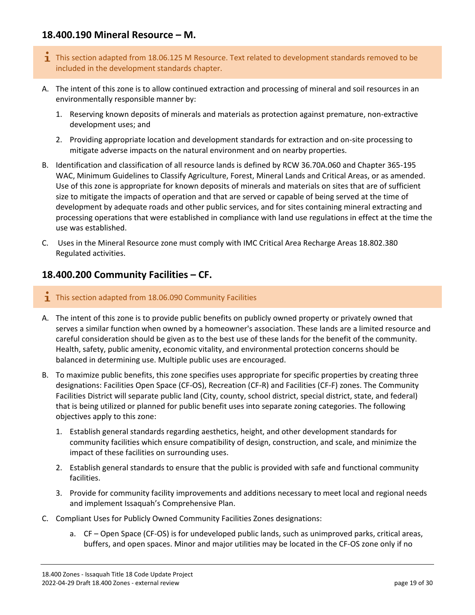# <span id="page-18-0"></span>**18.400.190 Mineral Resource – M.**

- $\mathbf 1$  This section adapted from 18.06.125 M Resource. Text related to development standards removed to be included in the development standards chapter.
- A. The intent of this zone is to allow continued extraction and processing of mineral and soil resources in an environmentally responsible manner by:
	- 1. Reserving known deposits of minerals and materials as protection against premature, non-extractive development uses; and
	- 2. Providing appropriate location and development standards for extraction and on-site processing to mitigate adverse impacts on the natural environment and on nearby properties.
- B. Identification and classification of all resource lands is defined by RCW 36.70A.060 and Chapter 365-195 WAC, Minimum Guidelines to Classify Agriculture, Forest, Mineral Lands and Critical Areas, or as amended. Use of this zone is appropriate for known deposits of minerals and materials on sites that are of sufficient size to mitigate the impacts of operation and that are served or capable of being served at the time of development by adequate roads and other public services, and for sites containing mineral extracting and processing operations that were established in compliance with land use regulations in effect at the time the use was established.
- C. Uses in the Mineral Resource zone must comply with IMC Critical Area Recharge Areas 18.802.380 Regulated activities.

## <span id="page-18-1"></span>**18.400.200 Community Facilities – CF.**

- $\overline{\mathbf{1}}$  This section adapted from 18.06.090 Community Facilities
- A. The intent of this zone is to provide public benefits on publicly owned property or privately owned that serves a similar function when owned by a homeowner's association. These lands are a limited resource and careful consideration should be given as to the best use of these lands for the benefit of the community. Health, safety, public amenity, economic vitality, and environmental protection concerns should be balanced in determining use. Multiple public uses are encouraged.
- B. To maximize public benefits, this zone specifies uses appropriate for specific properties by creating three designations: Facilities Open Space (CF-OS), Recreation (CF-R) and Facilities (CF-F) zones. The Community Facilities District will separate public land (City, county, school district, special district, state, and federal) that is being utilized or planned for public benefit uses into separate zoning categories. The following objectives apply to this zone:
	- 1. Establish general standards regarding aesthetics, height, and other development standards for community facilities which ensure compatibility of design, construction, and scale, and minimize the impact of these facilities on surrounding uses.
	- 2. Establish general standards to ensure that the public is provided with safe and functional community facilities.
	- 3. Provide for community facility improvements and additions necessary to meet local and regional needs and implement Issaquah's Comprehensive Plan.
- C. Compliant Uses for Publicly Owned Community Facilities Zones designations:
	- a. CF Open Space (CF-OS) is for undeveloped public lands, such as unimproved parks, critical areas, buffers, and open spaces. Minor and major utilities may be located in the CF-OS zone only if no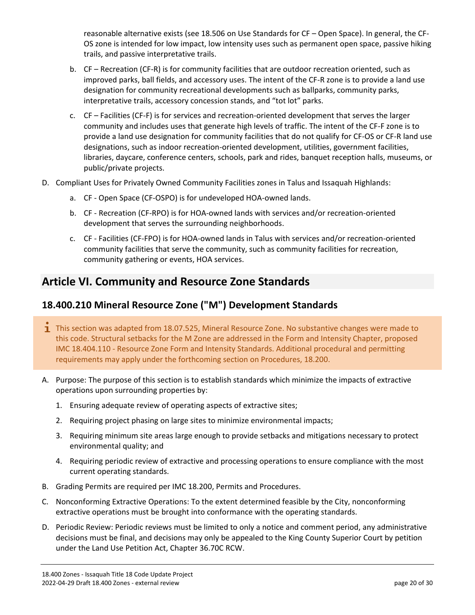reasonable alternative exists (see 18.506 on Use Standards for CF – Open Space). In general, the CF-OS zone is intended for low impact, low intensity uses such as permanent open space, passive hiking trails, and passive interpretative trails.

- b. CF Recreation (CF-R) is for community facilities that are outdoor recreation oriented, such as improved parks, ball fields, and accessory uses. The intent of the CF-R zone is to provide a land use designation for community recreational developments such as ballparks, community parks, interpretative trails, accessory concession stands, and "tot lot" parks.
- c. CF Facilities (CF-F) is for services and recreation-oriented development that serves the larger community and includes uses that generate high levels of traffic. The intent of the CF-F zone is to provide a land use designation for community facilities that do not qualify for CF-OS or CF-R land use designations, such as indoor recreation-oriented development, utilities, government facilities, libraries, daycare, conference centers, schools, park and rides, banquet reception halls, museums, or public/private projects.
- D. Compliant Uses for Privately Owned Community Facilities zones in Talus and Issaquah Highlands:
	- a. CF Open Space (CF-OSPO) is for undeveloped HOA-owned lands.
	- b. CF Recreation (CF-RPO) is for HOA-owned lands with services and/or recreation-oriented development that serves the surrounding neighborhoods.
	- c. CF Facilities (CF-FPO) is for HOA-owned lands in Talus with services and/or recreation-oriented community facilities that serve the community, such as community facilities for recreation, community gathering or events, HOA services.

# <span id="page-19-0"></span>**Article VI. Community and Resource Zone Standards**

# <span id="page-19-1"></span>**18.400.210 Mineral Resource Zone ("M") Development Standards**

- **T** This section was adapted from 18.07.525, Mineral Resource Zone. No substantive changes were made to this code. Structural setbacks for the M Zone are addressed in the Form and Intensity Chapter, proposed IMC 18.404.110 - Resource Zone Form and Intensity Standards. Additional procedural and permitting requirements may apply under the forthcoming section on Procedures, 18.200.
- A. Purpose: The purpose of this section is to establish standards which minimize the impacts of extractive operations upon surrounding properties by:
	- 1. Ensuring adequate review of operating aspects of extractive sites;
	- 2. Requiring project phasing on large sites to minimize environmental impacts;
	- 3. Requiring minimum site areas large enough to provide setbacks and mitigations necessary to protect environmental quality; and
	- 4. Requiring periodic review of extractive and processing operations to ensure compliance with the most current operating standards.
- B. Grading Permits are required per IMC 18.200, Permits and Procedures.
- C. Nonconforming Extractive Operations: To the extent determined feasible by the City, nonconforming extractive operations must be brought into conformance with the operating standards.
- D. Periodic Review: Periodic reviews must be limited to only a notice and comment period, any administrative decisions must be final, and decisions may only be appealed to the King County Superior Court by petition under the Land Use Petition Act, Chapter 36.70C RCW.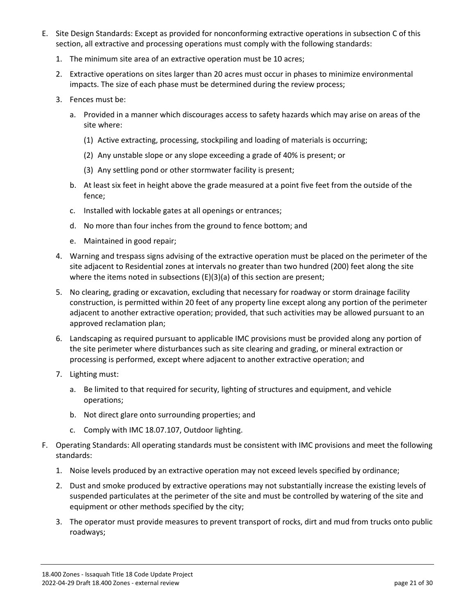- E. Site Design Standards: Except as provided for nonconforming extractive operations in subsection C of this section, all extractive and processing operations must comply with the following standards:
	- 1. The minimum site area of an extractive operation must be 10 acres;
	- 2. Extractive operations on sites larger than 20 acres must occur in phases to minimize environmental impacts. The size of each phase must be determined during the review process;
	- 3. Fences must be:
		- a. Provided in a manner which discourages access to safety hazards which may arise on areas of the site where:
			- (1) Active extracting, processing, stockpiling and loading of materials is occurring;
			- (2) Any unstable slope or any slope exceeding a grade of 40% is present; or
			- (3) Any settling pond or other stormwater facility is present;
		- b. At least six feet in height above the grade measured at a point five feet from the outside of the fence;
		- c. Installed with lockable gates at all openings or entrances;
		- d. No more than four inches from the ground to fence bottom; and
		- e. Maintained in good repair;
	- 4. Warning and trespass signs advising of the extractive operation must be placed on the perimeter of the site adjacent to Residential zones at intervals no greater than two hundred (200) feet along the site where the items noted in subsections (E)(3)(a) of this section are present;
	- 5. No clearing, grading or excavation, excluding that necessary for roadway or storm drainage facility construction, is permitted within 20 feet of any property line except along any portion of the perimeter adjacent to another extractive operation; provided, that such activities may be allowed pursuant to an approved reclamation plan;
	- 6. Landscaping as required pursuant to applicable IMC provisions must be provided along any portion of the site perimeter where disturbances such as site clearing and grading, or mineral extraction or processing is performed, except where adjacent to another extractive operation; and
	- 7. Lighting must:
		- a. Be limited to that required for security, lighting of structures and equipment, and vehicle operations;
		- b. Not direct glare onto surrounding properties; and
		- c. Comply with IMC 18.07.107, Outdoor lighting.
- F. Operating Standards: All operating standards must be consistent with IMC provisions and meet the following standards:
	- 1. Noise levels produced by an extractive operation may not exceed levels specified by ordinance;
	- 2. Dust and smoke produced by extractive operations may not substantially increase the existing levels of suspended particulates at the perimeter of the site and must be controlled by watering of the site and equipment or other methods specified by the city;
	- 3. The operator must provide measures to prevent transport of rocks, dirt and mud from trucks onto public roadways;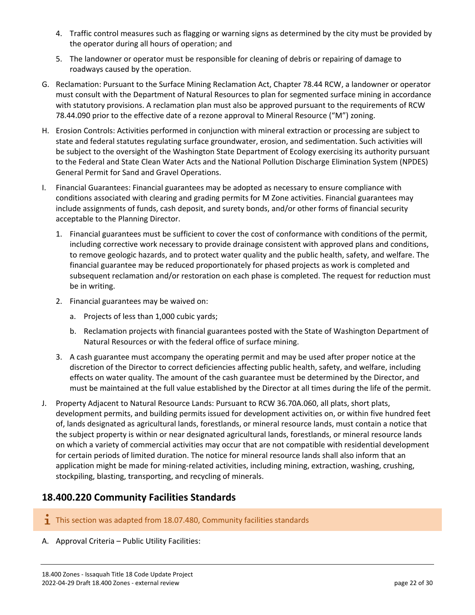- 4. Traffic control measures such as flagging or warning signs as determined by the city must be provided by the operator during all hours of operation; and
- 5. The landowner or operator must be responsible for cleaning of debris or repairing of damage to roadways caused by the operation.
- G. Reclamation: Pursuant to the Surface Mining Reclamation Act, Chapter 78.44 RCW, a landowner or operator must consult with the Department of Natural Resources to plan for segmented surface mining in accordance with statutory provisions. A reclamation plan must also be approved pursuant to the requirements of RCW 78.44.090 prior to the effective date of a rezone approval to Mineral Resource ("M") zoning.
- H. Erosion Controls: Activities performed in conjunction with mineral extraction or processing are subject to state and federal statutes regulating surface groundwater, erosion, and sedimentation. Such activities will be subject to the oversight of the Washington State Department of Ecology exercising its authority pursuant to the Federal and State Clean Water Acts and the National Pollution Discharge Elimination System (NPDES) General Permit for Sand and Gravel Operations.
- I. Financial Guarantees: Financial guarantees may be adopted as necessary to ensure compliance with conditions associated with clearing and grading permits for M Zone activities. Financial guarantees may include assignments of funds, cash deposit, and surety bonds, and/or other forms of financial security acceptable to the Planning Director.
	- 1. Financial guarantees must be sufficient to cover the cost of conformance with conditions of the permit, including corrective work necessary to provide drainage consistent with approved plans and conditions, to remove geologic hazards, and to protect water quality and the public health, safety, and welfare. The financial guarantee may be reduced proportionately for phased projects as work is completed and subsequent reclamation and/or restoration on each phase is completed. The request for reduction must be in writing.
	- 2. Financial guarantees may be waived on:
		- a. Projects of less than 1,000 cubic yards;
		- b. Reclamation projects with financial guarantees posted with the State of Washington Department of Natural Resources or with the federal office of surface mining.
	- 3. A cash guarantee must accompany the operating permit and may be used after proper notice at the discretion of the Director to correct deficiencies affecting public health, safety, and welfare, including effects on water quality. The amount of the cash guarantee must be determined by the Director, and must be maintained at the full value established by the Director at all times during the life of the permit.
- J. Property Adjacent to Natural Resource Lands: Pursuant to RCW 36.70A.060, all plats, short plats, development permits, and building permits issued for development activities on, or within five hundred feet of, lands designated as agricultural lands, forestlands, or mineral resource lands, must contain a notice that the subject property is within or near designated agricultural lands, forestlands, or mineral resource lands on which a variety of commercial activities may occur that are not compatible with residential development for certain periods of limited duration. The notice for mineral resource lands shall also inform that an application might be made for mining-related activities, including mining, extraction, washing, crushing, stockpiling, blasting, transporting, and recycling of minerals.

# <span id="page-21-0"></span>**18.400.220 Community Facilities Standards**

- $\mathbf{I}$  This section was adapted from 18.07.480, Community facilities standards
- A. Approval Criteria Public Utility Facilities: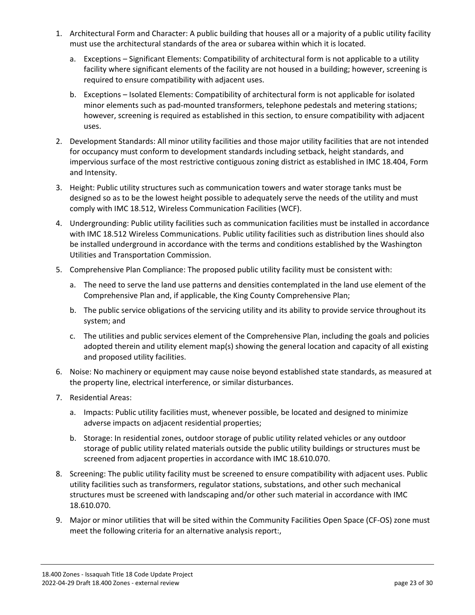- 1. Architectural Form and Character: A public building that houses all or a majority of a public utility facility must use the architectural standards of the area or subarea within which it is located.
	- a. Exceptions Significant Elements: Compatibility of architectural form is not applicable to a utility facility where significant elements of the facility are not housed in a building; however, screening is required to ensure compatibility with adjacent uses.
	- b. Exceptions Isolated Elements: Compatibility of architectural form is not applicable for isolated minor elements such as pad-mounted transformers, telephone pedestals and metering stations; however, screening is required as established in this section, to ensure compatibility with adjacent uses.
- 2. Development Standards: All minor utility facilities and those major utility facilities that are not intended for occupancy must conform to development standards including setback, height standards, and impervious surface of the most restrictive contiguous zoning district as established in IMC 18.404, Form and Intensity.
- 3. Height: Public utility structures such as communication towers and water storage tanks must be designed so as to be the lowest height possible to adequately serve the needs of the utility and must comply with IMC 18.512, Wireless Communication Facilities (WCF).
- 4. Undergrounding: Public utility facilities such as communication facilities must be installed in accordance with IMC 18.512 Wireless Communications. Public utility facilities such as distribution lines should also be installed underground in accordance with the terms and conditions established by the Washington Utilities and Transportation Commission.
- 5. Comprehensive Plan Compliance: The proposed public utility facility must be consistent with:
	- a. The need to serve the land use patterns and densities contemplated in the land use element of the Comprehensive Plan and, if applicable, the King County Comprehensive Plan;
	- b. The public service obligations of the servicing utility and its ability to provide service throughout its system; and
	- c. The utilities and public services element of the Comprehensive Plan, including the goals and policies adopted therein and utility element map(s) showing the general location and capacity of all existing and proposed utility facilities.
- 6. Noise: No machinery or equipment may cause noise beyond established state standards, as measured at the property line, electrical interference, or similar disturbances.
- 7. Residential Areas:
	- a. Impacts: Public utility facilities must, whenever possible, be located and designed to minimize adverse impacts on adjacent residential properties;
	- b. Storage: In residential zones, outdoor storage of public utility related vehicles or any outdoor storage of public utility related materials outside the public utility buildings or structures must be screened from adjacent properties in accordance with IMC 18.610.070.
- 8. Screening: The public utility facility must be screened to ensure compatibility with adjacent uses. Public utility facilities such as transformers, regulator stations, substations, and other such mechanical structures must be screened with landscaping and/or other such material in accordance with IMC 18.610.070.
- 9. Major or minor utilities that will be sited within the Community Facilities Open Space (CF-OS) zone must meet the following criteria for an alternative analysis report:,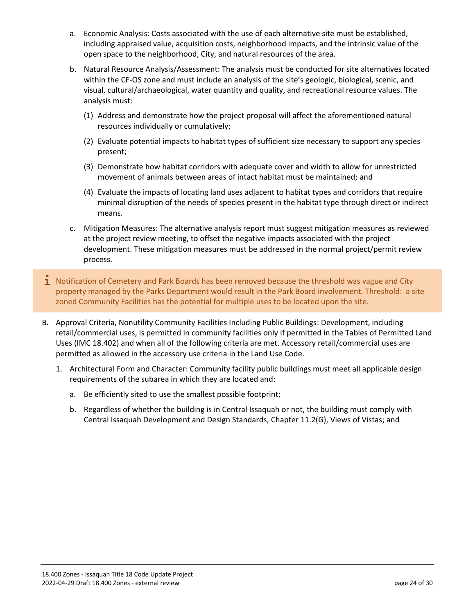- a. Economic Analysis: Costs associated with the use of each alternative site must be established, including appraised value, acquisition costs, neighborhood impacts, and the intrinsic value of the open space to the neighborhood, City, and natural resources of the area.
- b. Natural Resource Analysis/Assessment: The analysis must be conducted for site alternatives located within the CF-OS zone and must include an analysis of the site's geologic, biological, scenic, and visual, cultural/archaeological, water quantity and quality, and recreational resource values. The analysis must:
	- (1) Address and demonstrate how the project proposal will affect the aforementioned natural resources individually or cumulatively;
	- (2) Evaluate potential impacts to habitat types of sufficient size necessary to support any species present;
	- (3) Demonstrate how habitat corridors with adequate cover and width to allow for unrestricted movement of animals between areas of intact habitat must be maintained; and
	- (4) Evaluate the impacts of locating land uses adjacent to habitat types and corridors that require minimal disruption of the needs of species present in the habitat type through direct or indirect means.
- c. Mitigation Measures: The alternative analysis report must suggest mitigation measures as reviewed at the project review meeting, to offset the negative impacts associated with the project development. These mitigation measures must be addressed in the normal project/permit review process.
- $\mathbf 1$  Notification of Cemetery and Park Boards has been removed because the threshold was vague and City property managed by the Parks Department would result in the Park Board involvement. Threshold: a site zoned Community Facilities has the potential for multiple uses to be located upon the site.
- B. Approval Criteria, Nonutility Community Facilities Including Public Buildings: Development, including retail/commercial uses, is permitted in community facilities only if permitted in the Tables of Permitted Land Uses (IMC 18.402) and when all of the following criteria are met. Accessory retail/commercial uses are permitted as allowed in the accessory use criteria in the Land Use Code.
	- 1. Architectural Form and Character: Community facility public buildings must meet all applicable design requirements of the subarea in which they are located and:
		- a. Be efficiently sited to use the smallest possible footprint;
		- b. Regardless of whether the building is in Central Issaquah or not, the building must comply with Central Issaquah Development and Design Standards, Chapter 11.2(G), Views of Vistas; and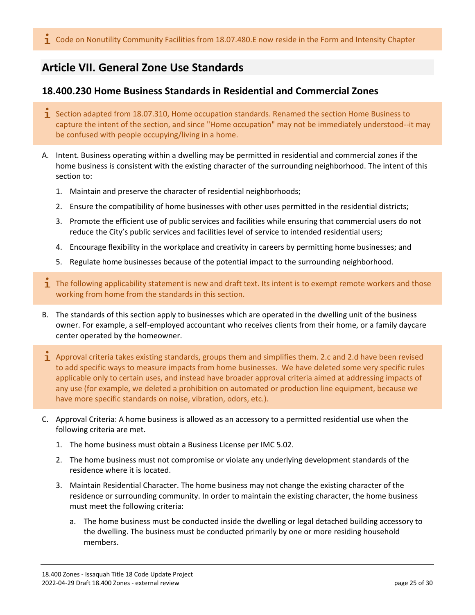# <span id="page-24-0"></span>**Article VII. General Zone Use Standards**

# <span id="page-24-1"></span>**18.400.230 Home Business Standards in Residential and Commercial Zones**

- **I** Section adapted from 18.07.310, Home occupation standards. Renamed the section Home Business to capture the intent of the section, and since "Home occupation" may not be immediately understood--it may be confused with people occupying/living in a home.
- A. Intent. Business operating within a dwelling may be permitted in residential and commercial zones if the home business is consistent with the existing character of the surrounding neighborhood. The intent of this section to:
	- 1. Maintain and preserve the character of residential neighborhoods;
	- 2. Ensure the compatibility of home businesses with other uses permitted in the residential districts;
	- 3. Promote the efficient use of public services and facilities while ensuring that commercial users do not reduce the City's public services and facilities level of service to intended residential users;
	- 4. Encourage flexibility in the workplace and creativity in careers by permitting home businesses; and
	- 5. Regulate home businesses because of the potential impact to the surrounding neighborhood.
- $\mathbf 1$  The following applicability statement is new and draft text. Its intent is to exempt remote workers and those working from home from the standards in this section.
- B. The standards of this section apply to businesses which are operated in the dwelling unit of the business owner. For example, a self-employed accountant who receives clients from their home, or a family daycare center operated by the homeowner.
- $\mathbf 1$  Approval criteria takes existing standards, groups them and simplifies them. 2.c and 2.d have been revised to add specific ways to measure impacts from home businesses. We have deleted some very specific rules applicable only to certain uses, and instead have broader approval criteria aimed at addressing impacts of any use (for example, we deleted a prohibition on automated or production line equipment, because we have more specific standards on noise, vibration, odors, etc.).
- C. Approval Criteria: A home business is allowed as an accessory to a permitted residential use when the following criteria are met.
	- 1. The home business must obtain a Business License per IMC 5.02.
	- 2. The home business must not compromise or violate any underlying development standards of the residence where it is located.
	- 3. Maintain Residential Character. The home business may not change the existing character of the residence or surrounding community. In order to maintain the existing character, the home business must meet the following criteria:
		- a. The home business must be conducted inside the dwelling or legal detached building accessory to the dwelling. The business must be conducted primarily by one or more residing household members.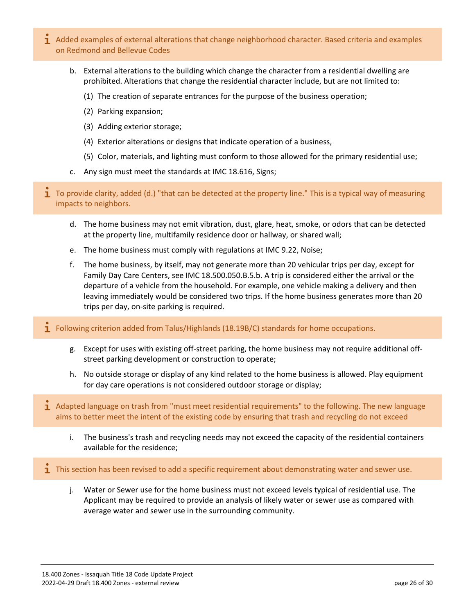- 1 Added examples of external alterations that change neighborhood character. Based criteria and examples on Redmond and Bellevue Codes
	- b. External alterations to the building which change the character from a residential dwelling are prohibited. Alterations that change the residential character include, but are not limited to:
		- (1) The creation of separate entrances for the purpose of the business operation;
		- (2) Parking expansion;
		- (3) Adding exterior storage;
		- (4) Exterior alterations or designs that indicate operation of a business,
		- (5) Color, materials, and lighting must conform to those allowed for the primary residential use;
	- c. Any sign must meet the standards at IMC 18.616, Signs;
- **1** To provide clarity, added (d.) "that can be detected at the property line." This is a typical way of measuring impacts to neighbors.
	- d. The home business may not emit vibration, dust, glare, heat, smoke, or odors that can be detected at the property line, multifamily residence door or hallway, or shared wall;
	- e. The home business must comply with regulations at IMC 9.22, Noise;
	- f. The home business, by itself, may not generate more than 20 vehicular trips per day, except for Family Day Care Centers, see IMC 18.500.050.B.5.b. A trip is considered either the arrival or the departure of a vehicle from the household. For example, one vehicle making a delivery and then leaving immediately would be considered two trips. If the home business generates more than 20 trips per day, on-site parking is required.
- **T** Following criterion added from Talus/Highlands (18.19B/C) standards for home occupations.
	- g. Except for uses with existing off-street parking, the home business may not require additional offstreet parking development or construction to operate;
	- h. No outside storage or display of any kind related to the home business is allowed. Play equipment for day care operations is not considered outdoor storage or display;
- $\overline{1}$  Adapted language on trash from "must meet residential requirements" to the following. The new language aims to better meet the intent of the existing code by ensuring that trash and recycling do not exceed
	- i. The business's trash and recycling needs may not exceed the capacity of the residential containers available for the residence;
- **T** This section has been revised to add a specific requirement about demonstrating water and sewer use.
	- j. Water or Sewer use for the home business must not exceed levels typical of residential use. The Applicant may be required to provide an analysis of likely water or sewer use as compared with average water and sewer use in the surrounding community.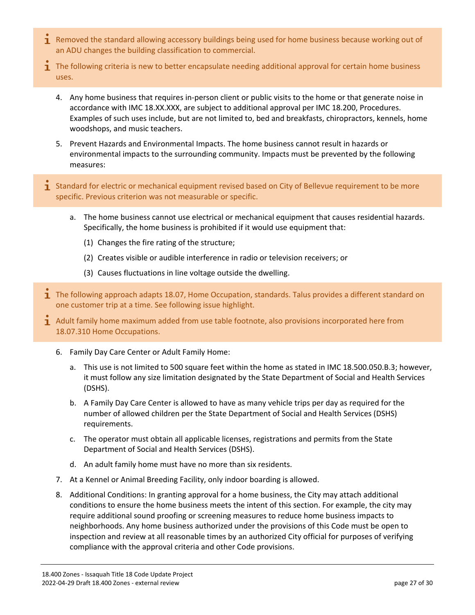- $\overline{1}$  Removed the standard allowing accessory buildings being used for home business because working out of an ADU changes the building classification to commercial.
- **T** The following criteria is new to better encapsulate needing additional approval for certain home business uses.
	- 4. Any home business that requires in-person client or public visits to the home or that generate noise in accordance with IMC 18.XX.XXX, are subject to additional approval per IMC 18.200, Procedures. Examples of such uses include, but are not limited to, bed and breakfasts, chiropractors, kennels, home woodshops, and music teachers.
	- 5. Prevent Hazards and Environmental Impacts. The home business cannot result in hazards or environmental impacts to the surrounding community. Impacts must be prevented by the following measures:
- $\mathbf i$  Standard for electric or mechanical equipment revised based on City of Bellevue requirement to be more specific. Previous criterion was not measurable or specific.
	- a. The home business cannot use electrical or mechanical equipment that causes residential hazards. Specifically, the home business is prohibited if it would use equipment that:
		- (1) Changes the fire rating of the structure;
		- (2) Creates visible or audible interference in radio or television receivers; or
		- (3) Causes fluctuations in line voltage outside the dwelling.
- $\overline{1}$  The following approach adapts 18.07, Home Occupation, standards. Talus provides a different standard on one customer trip at a time. See following issue highlight.
- 1 Adult family home maximum added from use table footnote, also provisions incorporated here from 18.07.310 Home Occupations.
	- 6. Family Day Care Center or Adult Family Home:
		- a. This use is not limited to 500 square feet within the home as stated in IMC 18.500.050.B.3; however, it must follow any size limitation designated by the State Department of Social and Health Services (DSHS).
		- b. A Family Day Care Center is allowed to have as many vehicle trips per day as required for the number of allowed children per the State Department of Social and Health Services (DSHS) requirements.
		- c. The operator must obtain all applicable licenses, registrations and permits from the State Department of Social and Health Services (DSHS).
		- d. An adult family home must have no more than six residents.
	- 7. At a Kennel or Animal Breeding Facility, only indoor boarding is allowed.
	- 8. Additional Conditions: In granting approval for a home business, the City may attach additional conditions to ensure the home business meets the intent of this section. For example, the city may require additional sound proofing or screening measures to reduce home business impacts to neighborhoods. Any home business authorized under the provisions of this Code must be open to inspection and review at all reasonable times by an authorized City official for purposes of verifying compliance with the approval criteria and other Code provisions.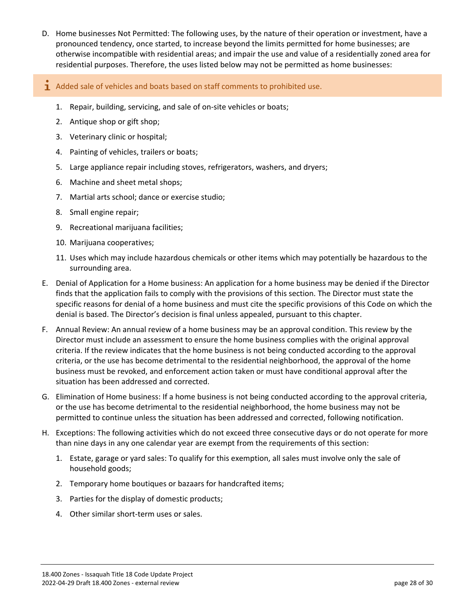- D. Home businesses Not Permitted: The following uses, by the nature of their operation or investment, have a pronounced tendency, once started, to increase beyond the limits permitted for home businesses; are otherwise incompatible with residential areas; and impair the use and value of a residentially zoned area for residential purposes. Therefore, the uses listed below may not be permitted as home businesses:
- $\mathbf{\dot{1}}$  Added sale of vehicles and boats based on staff comments to prohibited use.
	- 1. Repair, building, servicing, and sale of on-site vehicles or boats;
	- 2. Antique shop or gift shop;
	- 3. Veterinary clinic or hospital;
	- 4. Painting of vehicles, trailers or boats;
	- 5. Large appliance repair including stoves, refrigerators, washers, and dryers;
	- 6. Machine and sheet metal shops;
	- 7. Martial arts school; dance or exercise studio;
	- 8. Small engine repair;
	- 9. Recreational marijuana facilities;
	- 10. Marijuana cooperatives;
	- 11. Uses which may include hazardous chemicals or other items which may potentially be hazardous to the surrounding area.
- E. Denial of Application for a Home business: An application for a home business may be denied if the Director finds that the application fails to comply with the provisions of this section. The Director must state the specific reasons for denial of a home business and must cite the specific provisions of this Code on which the denial is based. The Director's decision is final unless appealed, pursuant to this chapter.
- F. Annual Review: An annual review of a home business may be an approval condition. This review by the Director must include an assessment to ensure the home business complies with the original approval criteria. If the review indicates that the home business is not being conducted according to the approval criteria, or the use has become detrimental to the residential neighborhood, the approval of the home business must be revoked, and enforcement action taken or must have conditional approval after the situation has been addressed and corrected.
- G. Elimination of Home business: If a home business is not being conducted according to the approval criteria, or the use has become detrimental to the residential neighborhood, the home business may not be permitted to continue unless the situation has been addressed and corrected, following notification.
- H. Exceptions: The following activities which do not exceed three consecutive days or do not operate for more than nine days in any one calendar year are exempt from the requirements of this section:
	- 1. Estate, garage or yard sales: To qualify for this exemption, all sales must involve only the sale of household goods;
	- 2. Temporary home boutiques or bazaars for handcrafted items;
	- 3. Parties for the display of domestic products;
	- 4. Other similar short-term uses or sales.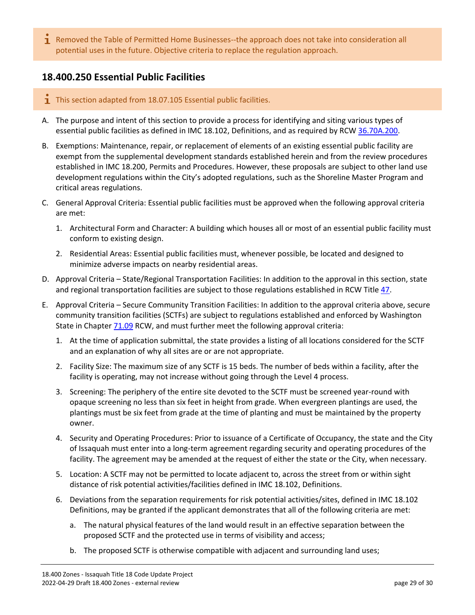$\mathbf 1$  Removed the Table of Permitted Home Businesses--the approach does not take into consideration all potential uses in the future. Objective criteria to replace the regulation approach.

# <span id="page-28-0"></span>**18.400.250 Essential Public Facilities**

- $\overline{1}$  This section adapted from 18.07.105 Essential public facilities.
- A. The purpose and intent of this section to provide a process for identifying and siting various types of essential public facilities as defined in IMC 18.102, Definitions, and as required by RCW [36.70A.200.](https://www.codepublishing.com/cgi-bin/rcw.pl?cite=36.70A.200)
- B. Exemptions: Maintenance, repair, or replacement of elements of an existing essential public facility are exempt from the supplemental development standards established herein and from the review procedures established in IMC 18.200, Permits and Procedures. However, these proposals are subject to other land use development regulations within the City's adopted regulations, such as the Shoreline Master Program and critical areas regulations.
- C. General Approval Criteria: Essential public facilities must be approved when the following approval criteria are met:
	- 1. Architectural Form and Character: A building which houses all or most of an essential public facility must conform to existing design.
	- 2. Residential Areas: Essential public facilities must, whenever possible, be located and designed to minimize adverse impacts on nearby residential areas.
- D. Approval Criteria State/Regional Transportation Facilities: In addition to the approval in this section, state and regional transportation facilities are subject to those regulations established in RCW Title [47.](https://www.codepublishing.com/cgi-bin/rcw.pl?cite=47)
- E. Approval Criteria Secure Community Transition Facilities: In addition to the approval criteria above, secure community transition facilities (SCTFs) are subject to regulations established and enforced by Washington State in Chapte[r 71.09](https://www.codepublishing.com/cgi-bin/rcw.pl?cite=71.09) RCW, and must further meet the following approval criteria:
	- 1. At the time of application submittal, the state provides a listing of all locations considered for the SCTF and an explanation of why all sites are or are not appropriate.
	- 2. Facility Size: The maximum size of any SCTF is 15 beds. The number of beds within a facility, after the facility is operating, may not increase without going through the Level 4 process.
	- 3. Screening: The periphery of the entire site devoted to the SCTF must be screened year-round with opaque screening no less than six feet in height from grade. When evergreen plantings are used, the plantings must be six feet from grade at the time of planting and must be maintained by the property owner.
	- 4. Security and Operating Procedures: Prior to issuance of a Certificate of Occupancy, the state and the City of Issaquah must enter into a long-term agreement regarding security and operating procedures of the facility. The agreement may be amended at the request of either the state or the City, when necessary.
	- 5. Location: A SCTF may not be permitted to locate adjacent to, across the street from or within sight distance of risk potential activities/facilities defined in IMC 18.102, Definitions.
	- 6. Deviations from the separation requirements for risk potential activities/sites, defined in IMC 18.102 Definitions, may be granted if the applicant demonstrates that all of the following criteria are met:
		- a. The natural physical features of the land would result in an effective separation between the proposed SCTF and the protected use in terms of visibility and access;
		- b. The proposed SCTF is otherwise compatible with adjacent and surrounding land uses;